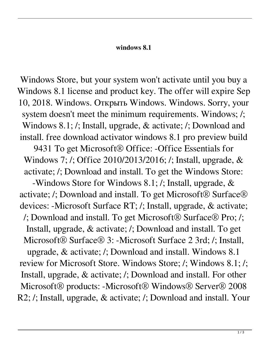## **windows 8.1**

Windows Store, but your system won't activate until you buy a Windows 8.1 license and product key. The offer will expire Sep 10, 2018. Windows. Открыть Windows. Windows. Sorry, your system doesn't meet the minimum requirements. Windows; /; Windows 8.1; /; Install, upgrade, & activate; /; Download and install. free download activator windows 8.1 pro preview build 9431 To get Microsoft<sup>®</sup> Office: -Office Essentials for Windows 7; /; Office 2010/2013/2016; /; Install, upgrade, & activate; /; Download and install. To get the Windows Store: -Windows Store for Windows 8.1; /; Install, upgrade, & activate; /; Download and install. To get Microsoft® Surface® devices: -Microsoft Surface RT; /; Install, upgrade, & activate; /; Download and install. To get Microsoft® Surface® Pro; /; Install, upgrade, & activate; /; Download and install. To get Microsoft® Surface® 3: -Microsoft Surface 2 3rd; /; Install, upgrade, & activate; /; Download and install. Windows 8.1 review for Microsoft Store. Windows Store; /; Windows 8.1; /; Install, upgrade, & activate; /; Download and install. For other Microsoft® products: -Microsoft® Windows® Server® 2008 R2; /; Install, upgrade, & activate; /; Download and install. Your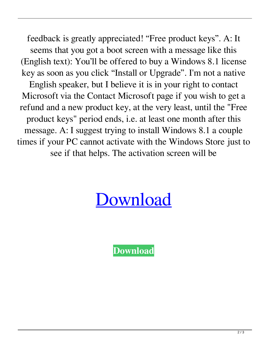feedback is greatly appreciated! "Free product keys". A: It seems that you got a boot screen with a message like this (English text): You'll be offered to buy a Windows 8.1 license key as soon as you click "Install or Upgrade". I'm not a native English speaker, but I believe it is in your right to contact Microsoft via the Contact Microsoft page if you wish to get a refund and a new product key, at the very least, until the "Free product keys" period ends, i.e. at least one month after this message. A: I suggest trying to install Windows 8.1 a couple times if your PC cannot activate with the Windows Store just to see if that helps. The activation screen will be

## [Download](https://urloso.com/2l0d2b)

**[Download](https://urloso.com/2l0d2b)**